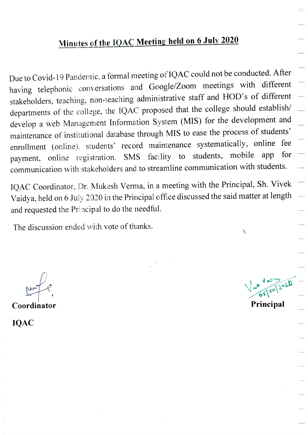## Minutes of the 1QAC Meeting held on 6 July 2020

Due to Covid-19 Pandemic, a formal meeting of 1QAC could not be conducted. After having telephonic conversations and Google/Zoom meetings with different stakeholders, teaching, non-teaching administrative staff and HOD's of different departments of the college, the 1QAC proposed that the college should establish/ develop a web Management Information System (MIS) for the development and maintenance of institutional database through MIS to ease the process of students' enrollment (online), students' record maintenance systematically, online fee<br>normant online requirection SMS facility to students, mobile app for payment, online registration, SMS facility to students, mobile app communication with stakeholders and to streamline communication with students.

1QAC Coordinator, Dr. Mukesh Verma, in a meeting with the Principal, Sh. Vivek Vaidya, held on 6 July 2020 in the Principal office discussed the said matter at length and requested the Principal to do the needful.

The discussion ended with vote of thanks.

Coordinator **Principal** 

 $\overline{\mathcal{M}}$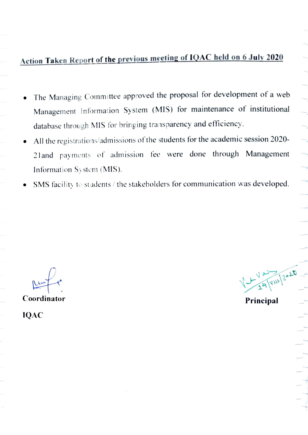## Action Taken Report of the previous meeting of 1QAC held on 6 July 2020

- The Managing Committee approved the proposal for development of a web Management Information System (MIS) for maintenance of institutional database through MIS for bringing transparency and efficiency.
- All the registrations/admissions of the students for the academic session 2020- 2land payments of admission fee were done through Management Information Sy stem (MIS).
- SMS facility to students / the stakeholders for communication was developed.

Principal Coordinator

 $V = \frac{1}{2}$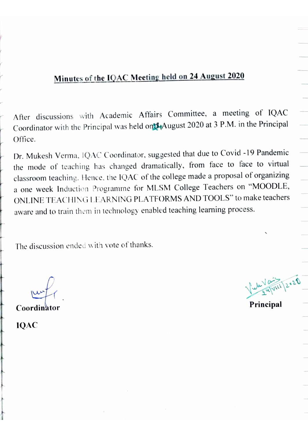## Minutes of the 1QAC Meeting held on 24 August 2020

After discussions with Academic Affairs Committee, a meeting of IQAC Coordinator with the Principal was held on<sup>24</sup> August 2020 at 3 P.M. in the Principal Office.

Dr. Mukesh Verma, 1QAC Coordinator, suggested that due to Covid -19 Pandemic the mode of teaching has changed dramatically, from face to face to virtual classroom teaching. Hence. the IQAC of the college made a proposal of organizing a one week Induction Programme for MLSM College Teachers on "MOODLE, ONLINE TEACHINGLEARNING PLATFORMS AND TOOLS" to make teachers aware and to train them in technology enabled teaching learning process.

The discussion ended with vote of thanks.

Coordinator **Principal** 

 $\sqrt{\frac{24}{21}}$